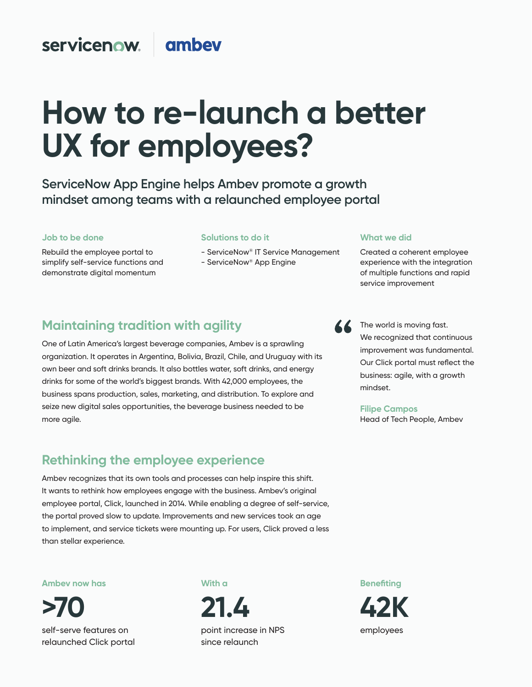## servicenow. ambey

# How to re-launch a better UX for employees?

ServiceNow App Engine helps Ambev promote a growth mindset among teams with a relaunched employee portal

#### **Job to be done Job to be done**

Rebuild the employee portal to simplify self-service functions and demonstrate digital momentum

#### **Solutions to do it**

- ServiceNow<sup>®</sup> IT Service Management
- ServiceNow<sup>®</sup> App Engine

# **Maintaining tradition with agility**

One of Latin America's largest beverage companies, Ambev is a sprawling organization. It operates in Argentina, Bolivia, Brazil, Chile, and Uruguay with its own beer and soft drinks brands. It also bottles water, soft drinks, and energy drinks for some of the world's biggest brands. With 42,000 employees, the **More agrie.** business spans production, sales, marketing, and distribution. To explore and seize new digital sales opportunities, the beverage business needed to be more agile.

## Rethinking the employee experience  $W'$  want to simplify the work so they can focus on taking can focus on taking care of our patients of our patients of our patients of our patients of our patients of our patients of our patients of our patients of our pa

Ambev recognizes that its own tools and processes can help inspire this shift. It wants to rethink how employees engage with the business. Ambev's original employee portal, Click, launched in 2014. While enabling a degree of self-service, the portal proved slow to update. Improvements and new services took an age to implement, and service tickets were mounting up. For users, Click proved a less than stellar experience.

#### **Now Ambev now has**

**97%**  self-serve features on relaunched Click portal **>70** 

## **With a**

**90% 21.4**  point increase in NPS since relaunch

**Benefiting 16 42K** 

employees **care of 50,000 m** 





**Filipe Campos** Head of Tech People, Ambev

## **What we did What we did**

Created a coherent employee experience with the integration of multiple functions and rapid service improvement